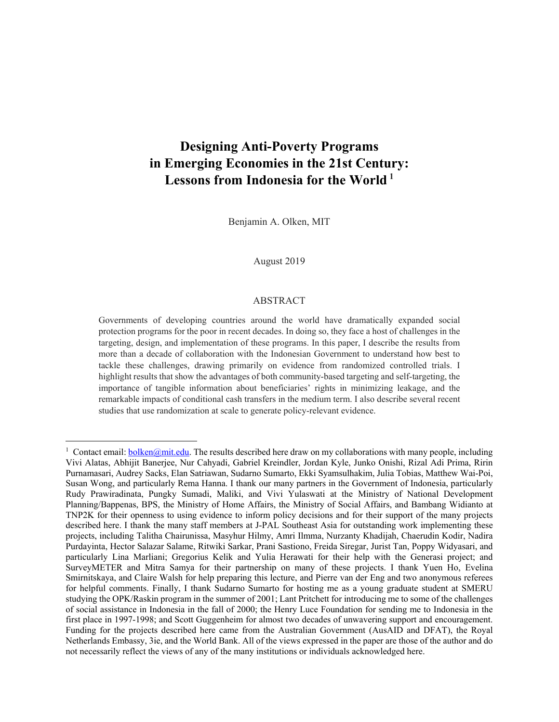# **Designing Anti-Poverty Programs in Emerging Economies in the 21st Century: Lessons from Indonesia for the World<sup>1</sup>**

Benjamin A. Olken, MIT

#### August 2019

#### ABSTRACT

Governments of developing countries around the world have dramatically expanded social protection programs for the poor in recent decades. In doing so, they face a host of challenges in the targeting, design, and implementation of these programs. In this paper, I describe the results from more than a decade of collaboration with the Indonesian Government to understand how best to tackle these challenges, drawing primarily on evidence from randomized controlled trials. I highlight results that show the advantages of both community-based targeting and self-targeting, the importance of tangible information about beneficiaries' rights in minimizing leakage, and the remarkable impacts of conditional cash transfers in the medium term. I also describe several recent studies that use randomization at scale to generate policy-relevant evidence.

<sup>&</sup>lt;sup>1</sup> Contact email: **bolken@mit.edu**. The results described here draw on my collaborations with many people, including Vivi Alatas, Abhijit Banerjee, Nur Cahyadi, Gabriel Kreindler, Jordan Kyle, Junko Onishi, Rizal Adi Prima, Ririn Purnamasari, Audrey Sacks, Elan Satriawan, Sudarno Sumarto, Ekki Syamsulhakim, Julia Tobias, Matthew Wai-Poi, Susan Wong, and particularly Rema Hanna. I thank our many partners in the Government of Indonesia, particularly Rudy Prawiradinata, Pungky Sumadi, Maliki, and Vivi Yulaswati at the Ministry of National Development Planning/Bappenas, BPS, the Ministry of Home Affairs, the Ministry of Social Affairs, and Bambang Widianto at TNP2K for their openness to using evidence to inform policy decisions and for their support of the many projects described here. I thank the many staff members at J-PAL Southeast Asia for outstanding work implementing these projects, including Talitha Chairunissa, Masyhur Hilmy, Amri Ilmma, Nurzanty Khadijah, Chaerudin Kodir, Nadira Purdayinta, Hector Salazar Salame, Ritwiki Sarkar, Prani Sastiono, Freida Siregar, Jurist Tan, Poppy Widyasari, and particularly Lina Marliani; Gregorius Kelik and Yulia Herawati for their help with the Generasi project; and SurveyMETER and Mitra Samya for their partnership on many of these projects. I thank Yuen Ho, Evelina Smirnitskaya, and Claire Walsh for help preparing this lecture, and Pierre van der Eng and two anonymous referees for helpful comments. Finally, I thank Sudarno Sumarto for hosting me as a young graduate student at SMERU studying the OPK/Raskin program in the summer of 2001; Lant Pritchett for introducing me to some of the challenges of social assistance in Indonesia in the fall of 2000; the Henry Luce Foundation for sending me to Indonesia in the first place in 1997-1998; and Scott Guggenheim for almost two decades of unwavering support and encouragement. Funding for the projects described here came from the Australian Government (AusAID and DFAT), the Royal Netherlands Embassy, 3ie, and the World Bank. All of the views expressed in the paper are those of the author and do not necessarily reflect the views of any of the many institutions or individuals acknowledged here.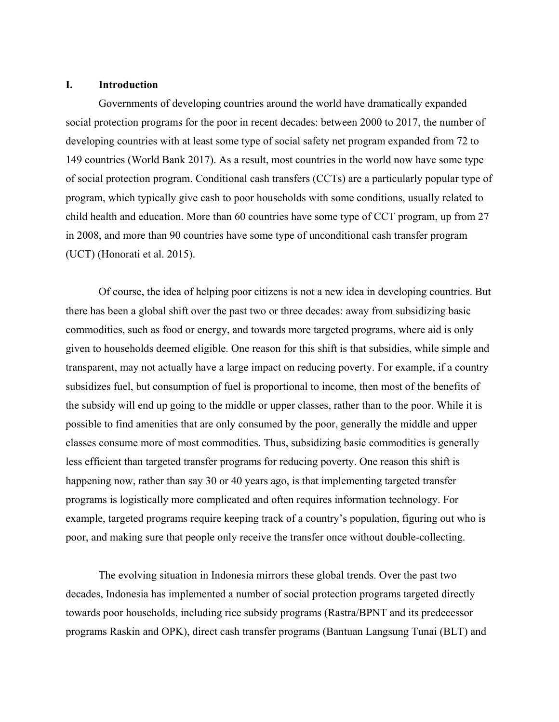## **I. Introduction**

Governments of developing countries around the world have dramatically expanded social protection programs for the poor in recent decades: between 2000 to 2017, the number of developing countries with at least some type of social safety net program expanded from 72 to 149 countries (World Bank 2017). As a result, most countries in the world now have some type of social protection program. Conditional cash transfers (CCTs) are a particularly popular type of program, which typically give cash to poor households with some conditions, usually related to child health and education. More than 60 countries have some type of CCT program, up from 27 in 2008, and more than 90 countries have some type of unconditional cash transfer program (UCT) (Honorati et al. 2015).

Of course, the idea of helping poor citizens is not a new idea in developing countries. But there has been a global shift over the past two or three decades: away from subsidizing basic commodities, such as food or energy, and towards more targeted programs, where aid is only given to households deemed eligible. One reason for this shift is that subsidies, while simple and transparent, may not actually have a large impact on reducing poverty. For example, if a country subsidizes fuel, but consumption of fuel is proportional to income, then most of the benefits of the subsidy will end up going to the middle or upper classes, rather than to the poor. While it is possible to find amenities that are only consumed by the poor, generally the middle and upper classes consume more of most commodities. Thus, subsidizing basic commodities is generally less efficient than targeted transfer programs for reducing poverty. One reason this shift is happening now, rather than say 30 or 40 years ago, is that implementing targeted transfer programs is logistically more complicated and often requires information technology. For example, targeted programs require keeping track of a country's population, figuring out who is poor, and making sure that people only receive the transfer once without double-collecting.

The evolving situation in Indonesia mirrors these global trends. Over the past two decades, Indonesia has implemented a number of social protection programs targeted directly towards poor households, including rice subsidy programs (Rastra/BPNT and its predecessor programs Raskin and OPK), direct cash transfer programs (Bantuan Langsung Tunai (BLT) and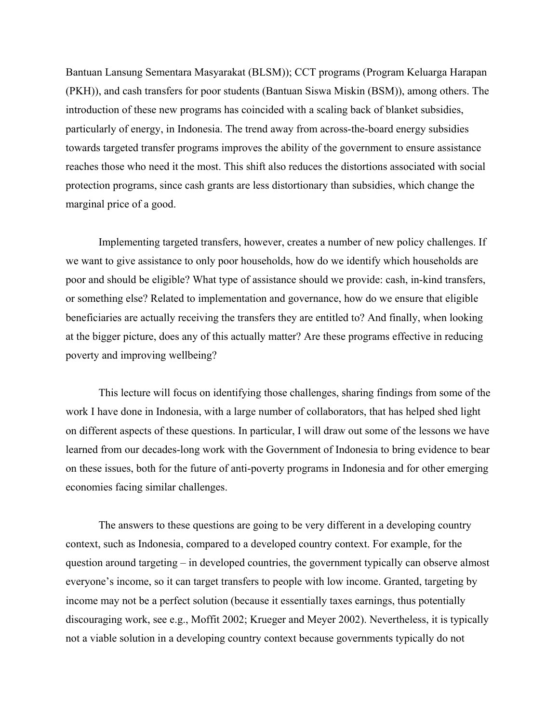Bantuan Lansung Sementara Masyarakat (BLSM)); CCT programs (Program Keluarga Harapan (PKH)), and cash transfers for poor students (Bantuan Siswa Miskin (BSM)), among others. The introduction of these new programs has coincided with a scaling back of blanket subsidies, particularly of energy, in Indonesia. The trend away from across-the-board energy subsidies towards targeted transfer programs improves the ability of the government to ensure assistance reaches those who need it the most. This shift also reduces the distortions associated with social protection programs, since cash grants are less distortionary than subsidies, which change the marginal price of a good.

Implementing targeted transfers, however, creates a number of new policy challenges. If we want to give assistance to only poor households, how do we identify which households are poor and should be eligible? What type of assistance should we provide: cash, in-kind transfers, or something else? Related to implementation and governance, how do we ensure that eligible beneficiaries are actually receiving the transfers they are entitled to? And finally, when looking at the bigger picture, does any of this actually matter? Are these programs effective in reducing poverty and improving wellbeing?

This lecture will focus on identifying those challenges, sharing findings from some of the work I have done in Indonesia, with a large number of collaborators, that has helped shed light on different aspects of these questions. In particular, I will draw out some of the lessons we have learned from our decades-long work with the Government of Indonesia to bring evidence to bear on these issues, both for the future of anti-poverty programs in Indonesia and for other emerging economies facing similar challenges.

The answers to these questions are going to be very different in a developing country context, such as Indonesia, compared to a developed country context. For example, for the question around targeting – in developed countries, the government typically can observe almost everyone's income, so it can target transfers to people with low income. Granted, targeting by income may not be a perfect solution (because it essentially taxes earnings, thus potentially discouraging work, see e.g., Moffit 2002; Krueger and Meyer 2002). Nevertheless, it is typically not a viable solution in a developing country context because governments typically do not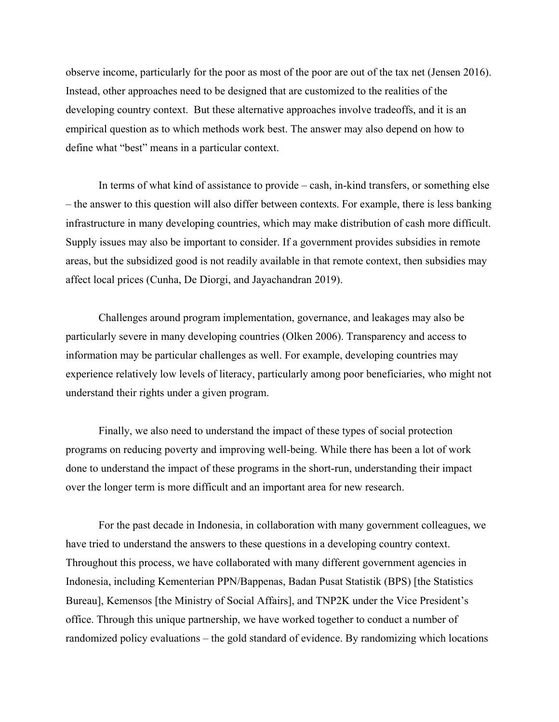observe income, particularly for the poor as most of the poor are out of the tax net (Jensen 2016). Instead, other approaches need to be designed that are customized to the realities of the developing country context. But these alternative approaches involve tradeoffs, and it is an empirical question as to which methods work best. The answer may also depend on how to define what "best" means in a particular context.

In terms of what kind of assistance to provide – cash, in-kind transfers, or something else – the answer to this question will also differ between contexts. For example, there is less banking infrastructure in many developing countries, which may make distribution of cash more difficult. Supply issues may also be important to consider. If a government provides subsidies in remote areas, but the subsidized good is not readily available in that remote context, then subsidies may affect local prices (Cunha, De Diorgi, and Jayachandran 2019).

Challenges around program implementation, governance, and leakages may also be particularly severe in many developing countries (Olken 2006). Transparency and access to information may be particular challenges as well. For example, developing countries may experience relatively low levels of literacy, particularly among poor beneficiaries, who might not understand their rights under a given program.

Finally, we also need to understand the impact of these types of social protection programs on reducing poverty and improving well-being. While there has been a lot of work done to understand the impact of these programs in the short-run, understanding their impact over the longer term is more difficult and an important area for new research.

For the past decade in Indonesia, in collaboration with many government colleagues, we have tried to understand the answers to these questions in a developing country context. Throughout this process, we have collaborated with many different government agencies in Indonesia, including Kementerian PPN/Bappenas, Badan Pusat Statistik (BPS) [the Statistics Bureau], Kemensos [the Ministry of Social Affairs], and TNP2K under the Vice President's office. Through this unique partnership, we have worked together to conduct a number of randomized policy evaluations – the gold standard of evidence. By randomizing which locations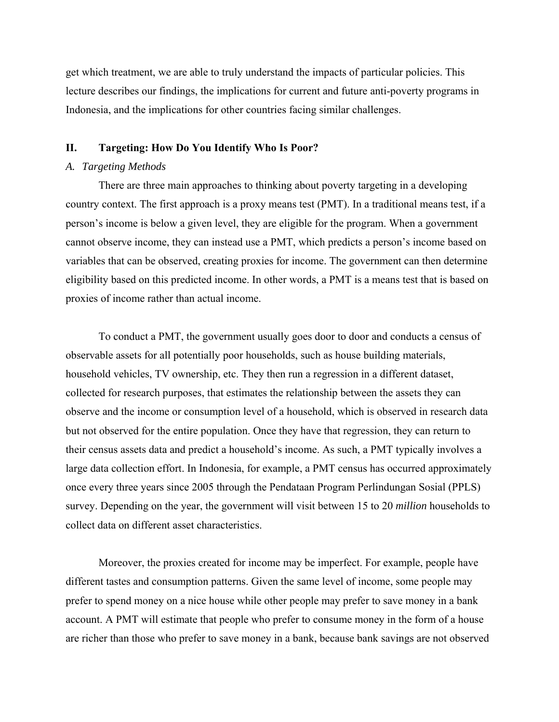get which treatment, we are able to truly understand the impacts of particular policies. This lecture describes our findings, the implications for current and future anti-poverty programs in Indonesia, and the implications for other countries facing similar challenges.

# **II. Targeting: How Do You Identify Who Is Poor?**

## *A. Targeting Methods*

There are three main approaches to thinking about poverty targeting in a developing country context. The first approach is a proxy means test (PMT). In a traditional means test, if a person's income is below a given level, they are eligible for the program. When a government cannot observe income, they can instead use a PMT, which predicts a person's income based on variables that can be observed, creating proxies for income. The government can then determine eligibility based on this predicted income. In other words, a PMT is a means test that is based on proxies of income rather than actual income.

To conduct a PMT, the government usually goes door to door and conducts a census of observable assets for all potentially poor households, such as house building materials, household vehicles, TV ownership, etc. They then run a regression in a different dataset, collected for research purposes, that estimates the relationship between the assets they can observe and the income or consumption level of a household, which is observed in research data but not observed for the entire population. Once they have that regression, they can return to their census assets data and predict a household's income. As such, a PMT typically involves a large data collection effort. In Indonesia, for example, a PMT census has occurred approximately once every three years since 2005 through the Pendataan Program Perlindungan Sosial (PPLS) survey. Depending on the year, the government will visit between 15 to 20 *million* households to collect data on different asset characteristics.

Moreover, the proxies created for income may be imperfect. For example, people have different tastes and consumption patterns. Given the same level of income, some people may prefer to spend money on a nice house while other people may prefer to save money in a bank account. A PMT will estimate that people who prefer to consume money in the form of a house are richer than those who prefer to save money in a bank, because bank savings are not observed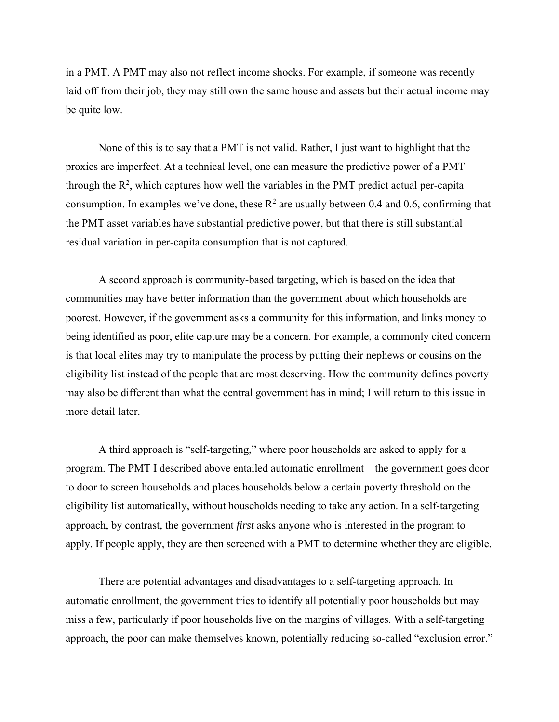in a PMT. A PMT may also not reflect income shocks. For example, if someone was recently laid off from their job, they may still own the same house and assets but their actual income may be quite low.

None of this is to say that a PMT is not valid. Rather, I just want to highlight that the proxies are imperfect. At a technical level, one can measure the predictive power of a PMT through the  $R^2$ , which captures how well the variables in the PMT predict actual per-capita consumption. In examples we've done, these  $R^2$  are usually between 0.4 and 0.6, confirming that the PMT asset variables have substantial predictive power, but that there is still substantial residual variation in per-capita consumption that is not captured.

A second approach is community-based targeting, which is based on the idea that communities may have better information than the government about which households are poorest. However, if the government asks a community for this information, and links money to being identified as poor, elite capture may be a concern. For example, a commonly cited concern is that local elites may try to manipulate the process by putting their nephews or cousins on the eligibility list instead of the people that are most deserving. How the community defines poverty may also be different than what the central government has in mind; I will return to this issue in more detail later.

A third approach is "self-targeting," where poor households are asked to apply for a program. The PMT I described above entailed automatic enrollment—the government goes door to door to screen households and places households below a certain poverty threshold on the eligibility list automatically, without households needing to take any action. In a self-targeting approach, by contrast, the government *first* asks anyone who is interested in the program to apply. If people apply, they are then screened with a PMT to determine whether they are eligible.

There are potential advantages and disadvantages to a self-targeting approach. In automatic enrollment, the government tries to identify all potentially poor households but may miss a few, particularly if poor households live on the margins of villages. With a self-targeting approach, the poor can make themselves known, potentially reducing so-called "exclusion error."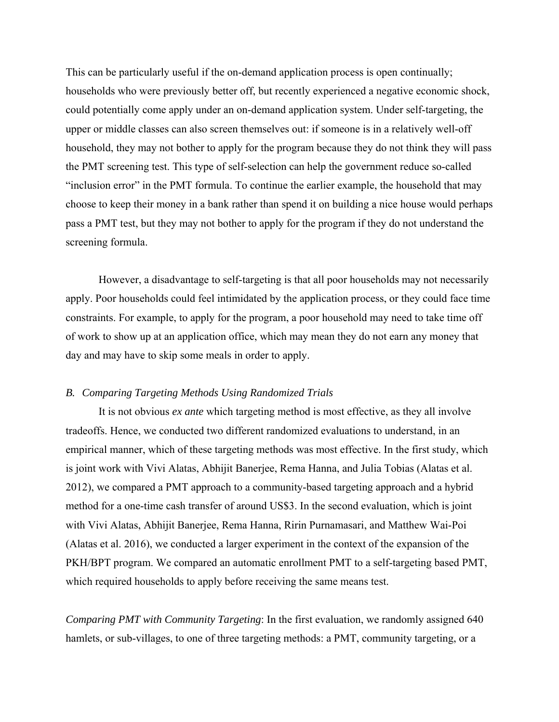This can be particularly useful if the on-demand application process is open continually; households who were previously better off, but recently experienced a negative economic shock, could potentially come apply under an on-demand application system. Under self-targeting, the upper or middle classes can also screen themselves out: if someone is in a relatively well-off household, they may not bother to apply for the program because they do not think they will pass the PMT screening test. This type of self-selection can help the government reduce so-called "inclusion error" in the PMT formula. To continue the earlier example, the household that may choose to keep their money in a bank rather than spend it on building a nice house would perhaps pass a PMT test, but they may not bother to apply for the program if they do not understand the screening formula.

However, a disadvantage to self-targeting is that all poor households may not necessarily apply. Poor households could feel intimidated by the application process, or they could face time constraints. For example, to apply for the program, a poor household may need to take time off of work to show up at an application office, which may mean they do not earn any money that day and may have to skip some meals in order to apply.

# *B. Comparing Targeting Methods Using Randomized Trials*

It is not obvious *ex ante* which targeting method is most effective, as they all involve tradeoffs. Hence, we conducted two different randomized evaluations to understand, in an empirical manner, which of these targeting methods was most effective. In the first study, which is joint work with Vivi Alatas, Abhijit Banerjee, Rema Hanna, and Julia Tobias (Alatas et al. 2012), we compared a PMT approach to a community-based targeting approach and a hybrid method for a one-time cash transfer of around US\$3. In the second evaluation, which is joint with Vivi Alatas, Abhijit Banerjee, Rema Hanna, Ririn Purnamasari, and Matthew Wai-Poi (Alatas et al. 2016), we conducted a larger experiment in the context of the expansion of the PKH/BPT program. We compared an automatic enrollment PMT to a self-targeting based PMT, which required households to apply before receiving the same means test.

*Comparing PMT with Community Targeting*: In the first evaluation, we randomly assigned 640 hamlets, or sub-villages, to one of three targeting methods: a PMT, community targeting, or a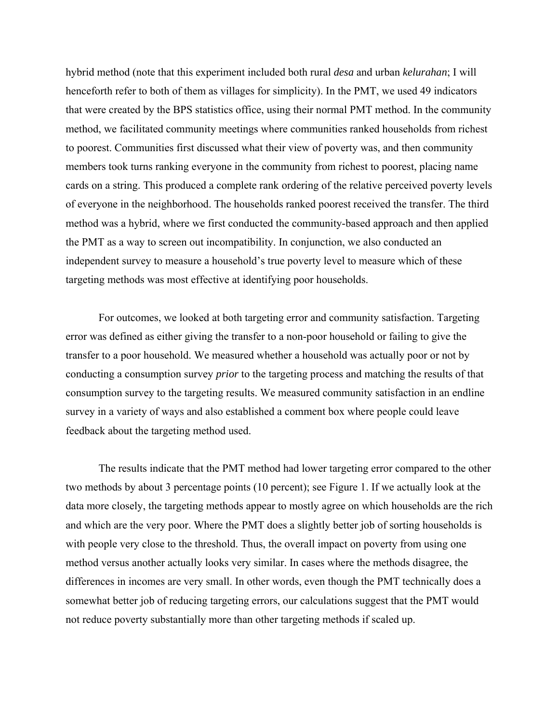hybrid method (note that this experiment included both rural *desa* and urban *kelurahan*; I will henceforth refer to both of them as villages for simplicity). In the PMT, we used 49 indicators that were created by the BPS statistics office, using their normal PMT method. In the community method, we facilitated community meetings where communities ranked households from richest to poorest. Communities first discussed what their view of poverty was, and then community members took turns ranking everyone in the community from richest to poorest, placing name cards on a string. This produced a complete rank ordering of the relative perceived poverty levels of everyone in the neighborhood. The households ranked poorest received the transfer. The third method was a hybrid, where we first conducted the community-based approach and then applied the PMT as a way to screen out incompatibility. In conjunction, we also conducted an independent survey to measure a household's true poverty level to measure which of these targeting methods was most effective at identifying poor households.

For outcomes, we looked at both targeting error and community satisfaction. Targeting error was defined as either giving the transfer to a non-poor household or failing to give the transfer to a poor household. We measured whether a household was actually poor or not by conducting a consumption survey *prior* to the targeting process and matching the results of that consumption survey to the targeting results. We measured community satisfaction in an endline survey in a variety of ways and also established a comment box where people could leave feedback about the targeting method used.

The results indicate that the PMT method had lower targeting error compared to the other two methods by about 3 percentage points (10 percent); see Figure 1. If we actually look at the data more closely, the targeting methods appear to mostly agree on which households are the rich and which are the very poor. Where the PMT does a slightly better job of sorting households is with people very close to the threshold. Thus, the overall impact on poverty from using one method versus another actually looks very similar. In cases where the methods disagree, the differences in incomes are very small. In other words, even though the PMT technically does a somewhat better job of reducing targeting errors, our calculations suggest that the PMT would not reduce poverty substantially more than other targeting methods if scaled up.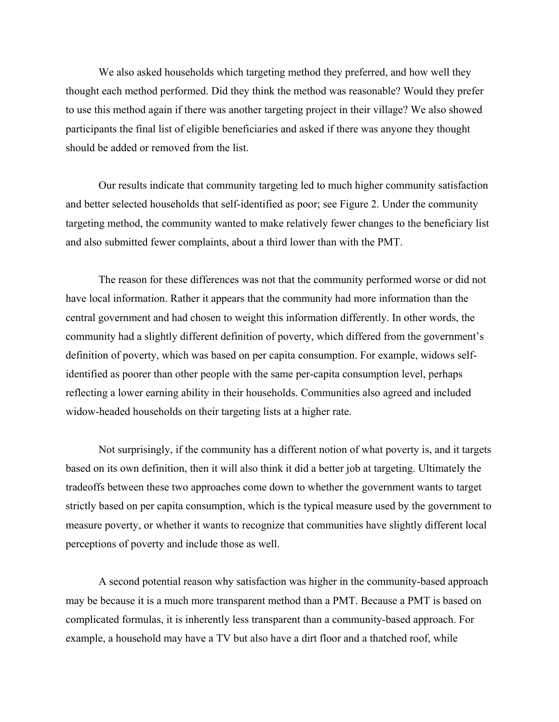We also asked households which targeting method they preferred, and how well they thought each method performed. Did they think the method was reasonable? Would they prefer to use this method again if there was another targeting project in their village? We also showed participants the final list of eligible beneficiaries and asked if there was anyone they thought should be added or removed from the list.

Our results indicate that community targeting led to much higher community satisfaction and better selected households that self-identified as poor; see Figure 2. Under the community targeting method, the community wanted to make relatively fewer changes to the beneficiary list and also submitted fewer complaints, about a third lower than with the PMT.

The reason for these differences was not that the community performed worse or did not have local information. Rather it appears that the community had more information than the central government and had chosen to weight this information differently. In other words, the community had a slightly different definition of poverty, which differed from the government's definition of poverty, which was based on per capita consumption. For example, widows selfidentified as poorer than other people with the same per-capita consumption level, perhaps reflecting a lower earning ability in their households. Communities also agreed and included widow-headed households on their targeting lists at a higher rate.

Not surprisingly, if the community has a different notion of what poverty is, and it targets based on its own definition, then it will also think it did a better job at targeting. Ultimately the tradeoffs between these two approaches come down to whether the government wants to target strictly based on per capita consumption, which is the typical measure used by the government to measure poverty, or whether it wants to recognize that communities have slightly different local perceptions of poverty and include those as well.

A second potential reason why satisfaction was higher in the community-based approach may be because it is a much more transparent method than a PMT. Because a PMT is based on complicated formulas, it is inherently less transparent than a community-based approach. For example, a household may have a TV but also have a dirt floor and a thatched roof, while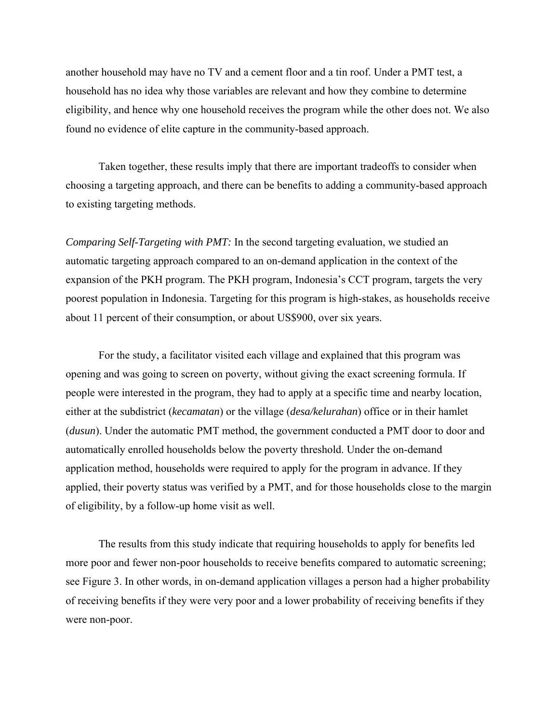another household may have no TV and a cement floor and a tin roof. Under a PMT test, a household has no idea why those variables are relevant and how they combine to determine eligibility, and hence why one household receives the program while the other does not. We also found no evidence of elite capture in the community-based approach.

Taken together, these results imply that there are important tradeoffs to consider when choosing a targeting approach, and there can be benefits to adding a community-based approach to existing targeting methods.

*Comparing Self-Targeting with PMT:* In the second targeting evaluation, we studied an automatic targeting approach compared to an on-demand application in the context of the expansion of the PKH program. The PKH program, Indonesia's CCT program, targets the very poorest population in Indonesia. Targeting for this program is high-stakes, as households receive about 11 percent of their consumption, or about US\$900, over six years.

For the study, a facilitator visited each village and explained that this program was opening and was going to screen on poverty, without giving the exact screening formula. If people were interested in the program, they had to apply at a specific time and nearby location, either at the subdistrict (*kecamatan*) or the village (*desa/kelurahan*) office or in their hamlet (*dusun*). Under the automatic PMT method, the government conducted a PMT door to door and automatically enrolled households below the poverty threshold. Under the on-demand application method, households were required to apply for the program in advance. If they applied, their poverty status was verified by a PMT, and for those households close to the margin of eligibility, by a follow-up home visit as well.

The results from this study indicate that requiring households to apply for benefits led more poor and fewer non-poor households to receive benefits compared to automatic screening; see Figure 3. In other words, in on-demand application villages a person had a higher probability of receiving benefits if they were very poor and a lower probability of receiving benefits if they were non-poor.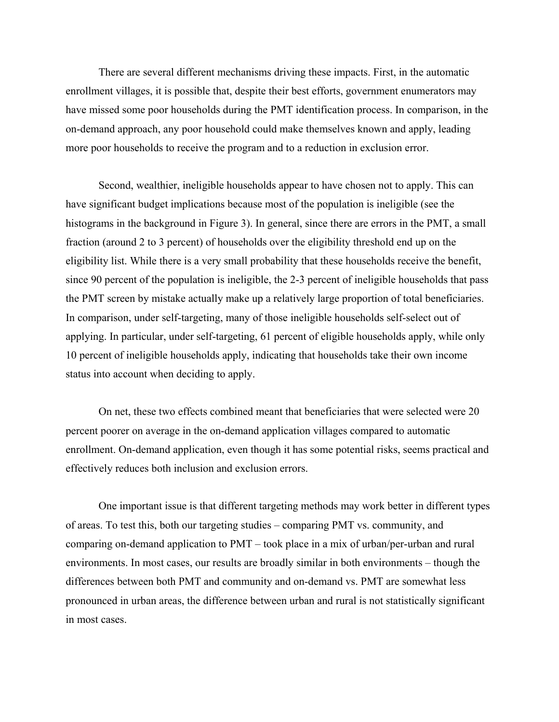There are several different mechanisms driving these impacts. First, in the automatic enrollment villages, it is possible that, despite their best efforts, government enumerators may have missed some poor households during the PMT identification process. In comparison, in the on-demand approach, any poor household could make themselves known and apply, leading more poor households to receive the program and to a reduction in exclusion error.

Second, wealthier, ineligible households appear to have chosen not to apply. This can have significant budget implications because most of the population is ineligible (see the histograms in the background in Figure 3). In general, since there are errors in the PMT, a small fraction (around 2 to 3 percent) of households over the eligibility threshold end up on the eligibility list. While there is a very small probability that these households receive the benefit, since 90 percent of the population is ineligible, the 2-3 percent of ineligible households that pass the PMT screen by mistake actually make up a relatively large proportion of total beneficiaries. In comparison, under self-targeting, many of those ineligible households self-select out of applying. In particular, under self-targeting, 61 percent of eligible households apply, while only 10 percent of ineligible households apply, indicating that households take their own income status into account when deciding to apply.

On net, these two effects combined meant that beneficiaries that were selected were 20 percent poorer on average in the on-demand application villages compared to automatic enrollment. On-demand application, even though it has some potential risks, seems practical and effectively reduces both inclusion and exclusion errors.

One important issue is that different targeting methods may work better in different types of areas. To test this, both our targeting studies – comparing PMT vs. community, and comparing on-demand application to PMT – took place in a mix of urban/per-urban and rural environments. In most cases, our results are broadly similar in both environments – though the differences between both PMT and community and on-demand vs. PMT are somewhat less pronounced in urban areas, the difference between urban and rural is not statistically significant in most cases.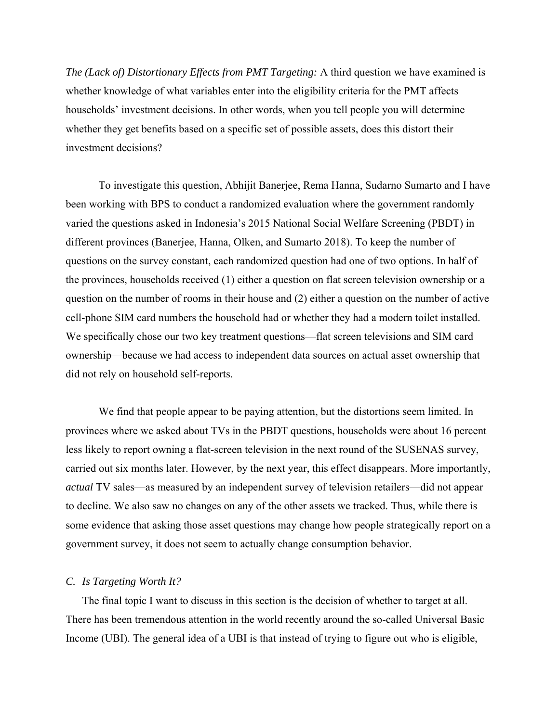*The (Lack of) Distortionary Effects from PMT Targeting:* A third question we have examined is whether knowledge of what variables enter into the eligibility criteria for the PMT affects households' investment decisions. In other words, when you tell people you will determine whether they get benefits based on a specific set of possible assets, does this distort their investment decisions?

To investigate this question, Abhijit Banerjee, Rema Hanna, Sudarno Sumarto and I have been working with BPS to conduct a randomized evaluation where the government randomly varied the questions asked in Indonesia's 2015 National Social Welfare Screening (PBDT) in different provinces (Banerjee, Hanna, Olken, and Sumarto 2018). To keep the number of questions on the survey constant, each randomized question had one of two options. In half of the provinces, households received (1) either a question on flat screen television ownership or a question on the number of rooms in their house and (2) either a question on the number of active cell-phone SIM card numbers the household had or whether they had a modern toilet installed. We specifically chose our two key treatment questions—flat screen televisions and SIM card ownership—because we had access to independent data sources on actual asset ownership that did not rely on household self-reports.

We find that people appear to be paying attention, but the distortions seem limited. In provinces where we asked about TVs in the PBDT questions, households were about 16 percent less likely to report owning a flat-screen television in the next round of the SUSENAS survey, carried out six months later. However, by the next year, this effect disappears. More importantly, *actual* TV sales—as measured by an independent survey of television retailers—did not appear to decline. We also saw no changes on any of the other assets we tracked. Thus, while there is some evidence that asking those asset questions may change how people strategically report on a government survey, it does not seem to actually change consumption behavior.

## *C. Is Targeting Worth It?*

The final topic I want to discuss in this section is the decision of whether to target at all. There has been tremendous attention in the world recently around the so-called Universal Basic Income (UBI). The general idea of a UBI is that instead of trying to figure out who is eligible,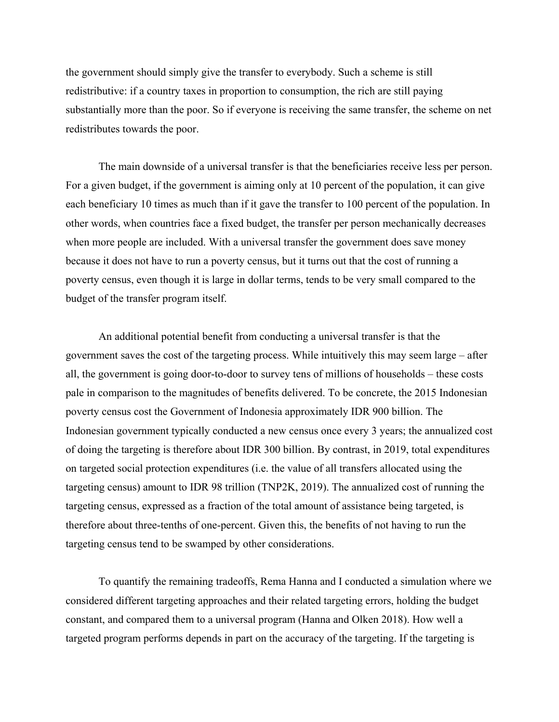the government should simply give the transfer to everybody. Such a scheme is still redistributive: if a country taxes in proportion to consumption, the rich are still paying substantially more than the poor. So if everyone is receiving the same transfer, the scheme on net redistributes towards the poor.

The main downside of a universal transfer is that the beneficiaries receive less per person. For a given budget, if the government is aiming only at 10 percent of the population, it can give each beneficiary 10 times as much than if it gave the transfer to 100 percent of the population. In other words, when countries face a fixed budget, the transfer per person mechanically decreases when more people are included. With a universal transfer the government does save money because it does not have to run a poverty census, but it turns out that the cost of running a poverty census, even though it is large in dollar terms, tends to be very small compared to the budget of the transfer program itself.

An additional potential benefit from conducting a universal transfer is that the government saves the cost of the targeting process. While intuitively this may seem large – after all, the government is going door-to-door to survey tens of millions of households – these costs pale in comparison to the magnitudes of benefits delivered. To be concrete, the 2015 Indonesian poverty census cost the Government of Indonesia approximately IDR 900 billion. The Indonesian government typically conducted a new census once every 3 years; the annualized cost of doing the targeting is therefore about IDR 300 billion. By contrast, in 2019, total expenditures on targeted social protection expenditures (i.e. the value of all transfers allocated using the targeting census) amount to IDR 98 trillion (TNP2K, 2019). The annualized cost of running the targeting census, expressed as a fraction of the total amount of assistance being targeted, is therefore about three-tenths of one-percent. Given this, the benefits of not having to run the targeting census tend to be swamped by other considerations.

To quantify the remaining tradeoffs, Rema Hanna and I conducted a simulation where we considered different targeting approaches and their related targeting errors, holding the budget constant, and compared them to a universal program (Hanna and Olken 2018). How well a targeted program performs depends in part on the accuracy of the targeting. If the targeting is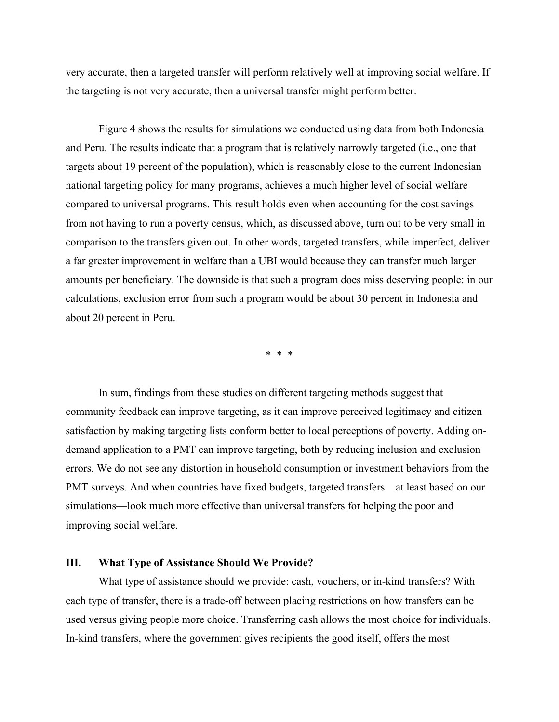very accurate, then a targeted transfer will perform relatively well at improving social welfare. If the targeting is not very accurate, then a universal transfer might perform better.

Figure 4 shows the results for simulations we conducted using data from both Indonesia and Peru. The results indicate that a program that is relatively narrowly targeted (i.e., one that targets about 19 percent of the population), which is reasonably close to the current Indonesian national targeting policy for many programs, achieves a much higher level of social welfare compared to universal programs. This result holds even when accounting for the cost savings from not having to run a poverty census, which, as discussed above, turn out to be very small in comparison to the transfers given out. In other words, targeted transfers, while imperfect, deliver a far greater improvement in welfare than a UBI would because they can transfer much larger amounts per beneficiary. The downside is that such a program does miss deserving people: in our calculations, exclusion error from such a program would be about 30 percent in Indonesia and about 20 percent in Peru.

\* \* \*

In sum, findings from these studies on different targeting methods suggest that community feedback can improve targeting, as it can improve perceived legitimacy and citizen satisfaction by making targeting lists conform better to local perceptions of poverty. Adding ondemand application to a PMT can improve targeting, both by reducing inclusion and exclusion errors. We do not see any distortion in household consumption or investment behaviors from the PMT surveys. And when countries have fixed budgets, targeted transfers—at least based on our simulations—look much more effective than universal transfers for helping the poor and improving social welfare.

# **III. What Type of Assistance Should We Provide?**

What type of assistance should we provide: cash, vouchers, or in-kind transfers? With each type of transfer, there is a trade-off between placing restrictions on how transfers can be used versus giving people more choice. Transferring cash allows the most choice for individuals. In-kind transfers, where the government gives recipients the good itself, offers the most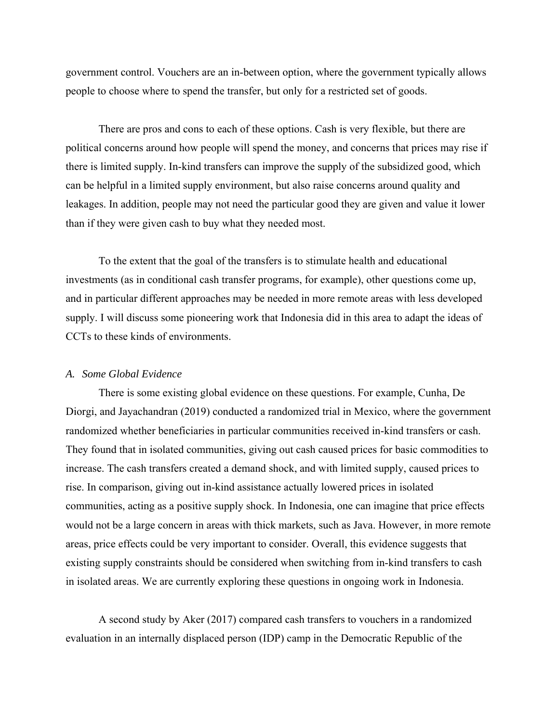government control. Vouchers are an in-between option, where the government typically allows people to choose where to spend the transfer, but only for a restricted set of goods.

There are pros and cons to each of these options. Cash is very flexible, but there are political concerns around how people will spend the money, and concerns that prices may rise if there is limited supply. In-kind transfers can improve the supply of the subsidized good, which can be helpful in a limited supply environment, but also raise concerns around quality and leakages. In addition, people may not need the particular good they are given and value it lower than if they were given cash to buy what they needed most.

To the extent that the goal of the transfers is to stimulate health and educational investments (as in conditional cash transfer programs, for example), other questions come up, and in particular different approaches may be needed in more remote areas with less developed supply. I will discuss some pioneering work that Indonesia did in this area to adapt the ideas of CCTs to these kinds of environments.

#### *A. Some Global Evidence*

There is some existing global evidence on these questions. For example, Cunha, De Diorgi, and Jayachandran (2019) conducted a randomized trial in Mexico, where the government randomized whether beneficiaries in particular communities received in-kind transfers or cash. They found that in isolated communities, giving out cash caused prices for basic commodities to increase. The cash transfers created a demand shock, and with limited supply, caused prices to rise. In comparison, giving out in-kind assistance actually lowered prices in isolated communities, acting as a positive supply shock. In Indonesia, one can imagine that price effects would not be a large concern in areas with thick markets, such as Java. However, in more remote areas, price effects could be very important to consider. Overall, this evidence suggests that existing supply constraints should be considered when switching from in-kind transfers to cash in isolated areas. We are currently exploring these questions in ongoing work in Indonesia.

A second study by Aker (2017) compared cash transfers to vouchers in a randomized evaluation in an internally displaced person (IDP) camp in the Democratic Republic of the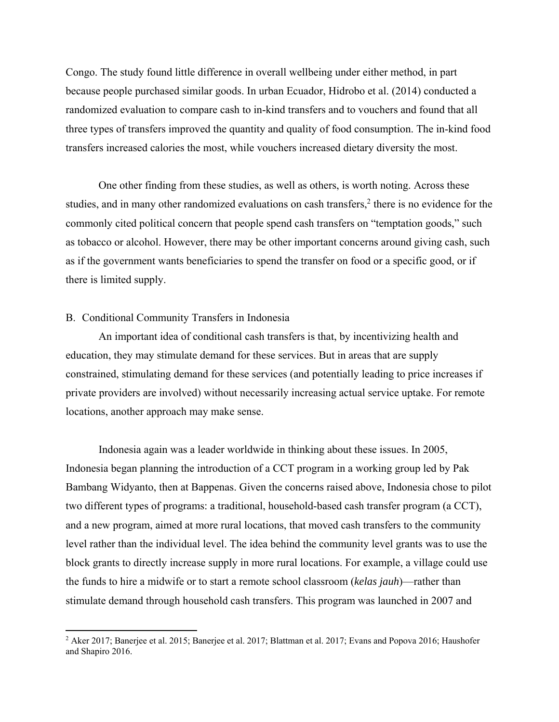Congo. The study found little difference in overall wellbeing under either method, in part because people purchased similar goods. In urban Ecuador, Hidrobo et al. (2014) conducted a randomized evaluation to compare cash to in-kind transfers and to vouchers and found that all three types of transfers improved the quantity and quality of food consumption. The in-kind food transfers increased calories the most, while vouchers increased dietary diversity the most.

One other finding from these studies, as well as others, is worth noting. Across these studies, and in many other randomized evaluations on cash transfers,<sup>2</sup> there is no evidence for the commonly cited political concern that people spend cash transfers on "temptation goods," such as tobacco or alcohol. However, there may be other important concerns around giving cash, such as if the government wants beneficiaries to spend the transfer on food or a specific good, or if there is limited supply.

# B. Conditional Community Transfers in Indonesia

An important idea of conditional cash transfers is that, by incentivizing health and education, they may stimulate demand for these services. But in areas that are supply constrained, stimulating demand for these services (and potentially leading to price increases if private providers are involved) without necessarily increasing actual service uptake. For remote locations, another approach may make sense.

Indonesia again was a leader worldwide in thinking about these issues. In 2005, Indonesia began planning the introduction of a CCT program in a working group led by Pak Bambang Widyanto, then at Bappenas. Given the concerns raised above, Indonesia chose to pilot two different types of programs: a traditional, household-based cash transfer program (a CCT), and a new program, aimed at more rural locations, that moved cash transfers to the community level rather than the individual level. The idea behind the community level grants was to use the block grants to directly increase supply in more rural locations. For example, a village could use the funds to hire a midwife or to start a remote school classroom (*kelas jauh*)—rather than stimulate demand through household cash transfers. This program was launched in 2007 and

<sup>&</sup>lt;sup>2</sup> Aker 2017; Banerjee et al. 2015; Banerjee et al. 2017; Blattman et al. 2017; Evans and Popova 2016; Haushofer and Shapiro 2016.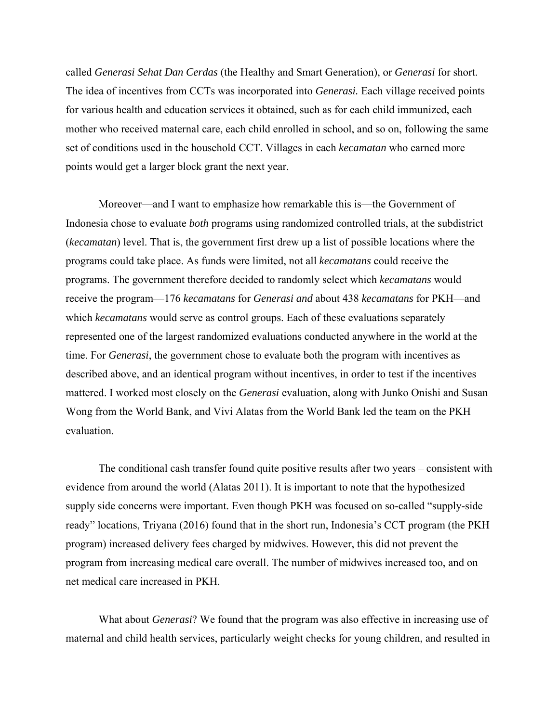called *Generasi Sehat Dan Cerdas* (the Healthy and Smart Generation), or *Generasi* for short. The idea of incentives from CCTs was incorporated into *Generasi.* Each village received points for various health and education services it obtained, such as for each child immunized, each mother who received maternal care, each child enrolled in school, and so on, following the same set of conditions used in the household CCT. Villages in each *kecamatan* who earned more points would get a larger block grant the next year.

Moreover—and I want to emphasize how remarkable this is—the Government of Indonesia chose to evaluate *both* programs using randomized controlled trials, at the subdistrict (*kecamatan*) level. That is, the government first drew up a list of possible locations where the programs could take place. As funds were limited, not all *kecamatans* could receive the programs. The government therefore decided to randomly select which *kecamatans* would receive the program—176 *kecamatans* for *Generasi and* about 438 *kecamatans* for PKH—and which *kecamatans* would serve as control groups. Each of these evaluations separately represented one of the largest randomized evaluations conducted anywhere in the world at the time. For *Generasi*, the government chose to evaluate both the program with incentives as described above, and an identical program without incentives, in order to test if the incentives mattered. I worked most closely on the *Generasi* evaluation, along with Junko Onishi and Susan Wong from the World Bank, and Vivi Alatas from the World Bank led the team on the PKH evaluation.

The conditional cash transfer found quite positive results after two years – consistent with evidence from around the world (Alatas 2011). It is important to note that the hypothesized supply side concerns were important. Even though PKH was focused on so-called "supply-side ready" locations, Triyana (2016) found that in the short run, Indonesia's CCT program (the PKH program) increased delivery fees charged by midwives. However, this did not prevent the program from increasing medical care overall. The number of midwives increased too, and on net medical care increased in PKH.

What about *Generasi*? We found that the program was also effective in increasing use of maternal and child health services, particularly weight checks for young children, and resulted in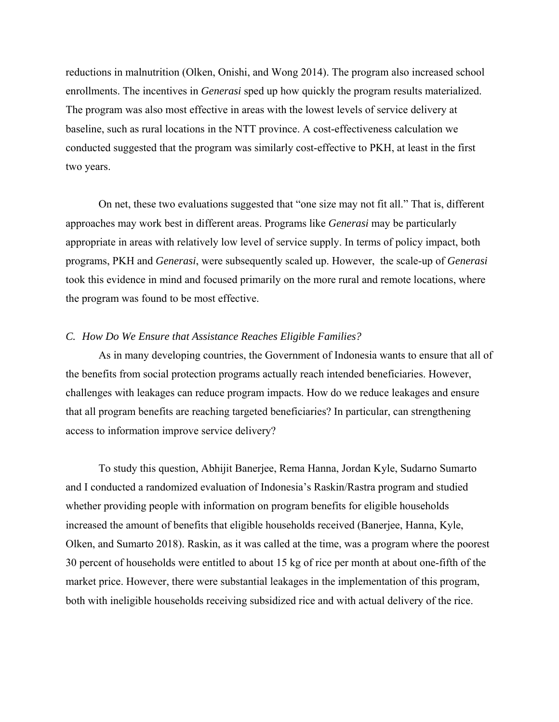reductions in malnutrition (Olken, Onishi, and Wong 2014). The program also increased school enrollments. The incentives in *Generasi* sped up how quickly the program results materialized. The program was also most effective in areas with the lowest levels of service delivery at baseline, such as rural locations in the NTT province. A cost-effectiveness calculation we conducted suggested that the program was similarly cost-effective to PKH, at least in the first two years.

On net, these two evaluations suggested that "one size may not fit all." That is, different approaches may work best in different areas. Programs like *Generasi* may be particularly appropriate in areas with relatively low level of service supply. In terms of policy impact, both programs, PKH and *Generasi*, were subsequently scaled up. However, the scale-up of *Generasi* took this evidence in mind and focused primarily on the more rural and remote locations, where the program was found to be most effective.

# *C. How Do We Ensure that Assistance Reaches Eligible Families?*

As in many developing countries, the Government of Indonesia wants to ensure that all of the benefits from social protection programs actually reach intended beneficiaries. However, challenges with leakages can reduce program impacts. How do we reduce leakages and ensure that all program benefits are reaching targeted beneficiaries? In particular, can strengthening access to information improve service delivery?

To study this question, Abhijit Banerjee, Rema Hanna, Jordan Kyle, Sudarno Sumarto and I conducted a randomized evaluation of Indonesia's Raskin/Rastra program and studied whether providing people with information on program benefits for eligible households increased the amount of benefits that eligible households received (Banerjee, Hanna, Kyle, Olken, and Sumarto 2018). Raskin, as it was called at the time, was a program where the poorest 30 percent of households were entitled to about 15 kg of rice per month at about one-fifth of the market price. However, there were substantial leakages in the implementation of this program, both with ineligible households receiving subsidized rice and with actual delivery of the rice.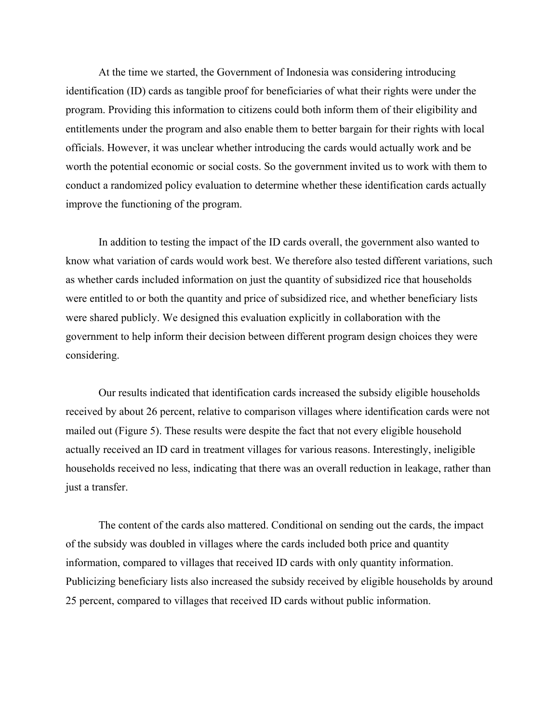At the time we started, the Government of Indonesia was considering introducing identification (ID) cards as tangible proof for beneficiaries of what their rights were under the program. Providing this information to citizens could both inform them of their eligibility and entitlements under the program and also enable them to better bargain for their rights with local officials. However, it was unclear whether introducing the cards would actually work and be worth the potential economic or social costs. So the government invited us to work with them to conduct a randomized policy evaluation to determine whether these identification cards actually improve the functioning of the program.

In addition to testing the impact of the ID cards overall, the government also wanted to know what variation of cards would work best. We therefore also tested different variations, such as whether cards included information on just the quantity of subsidized rice that households were entitled to or both the quantity and price of subsidized rice, and whether beneficiary lists were shared publicly. We designed this evaluation explicitly in collaboration with the government to help inform their decision between different program design choices they were considering.

Our results indicated that identification cards increased the subsidy eligible households received by about 26 percent, relative to comparison villages where identification cards were not mailed out (Figure 5). These results were despite the fact that not every eligible household actually received an ID card in treatment villages for various reasons. Interestingly, ineligible households received no less, indicating that there was an overall reduction in leakage, rather than just a transfer.

The content of the cards also mattered. Conditional on sending out the cards, the impact of the subsidy was doubled in villages where the cards included both price and quantity information, compared to villages that received ID cards with only quantity information. Publicizing beneficiary lists also increased the subsidy received by eligible households by around 25 percent, compared to villages that received ID cards without public information.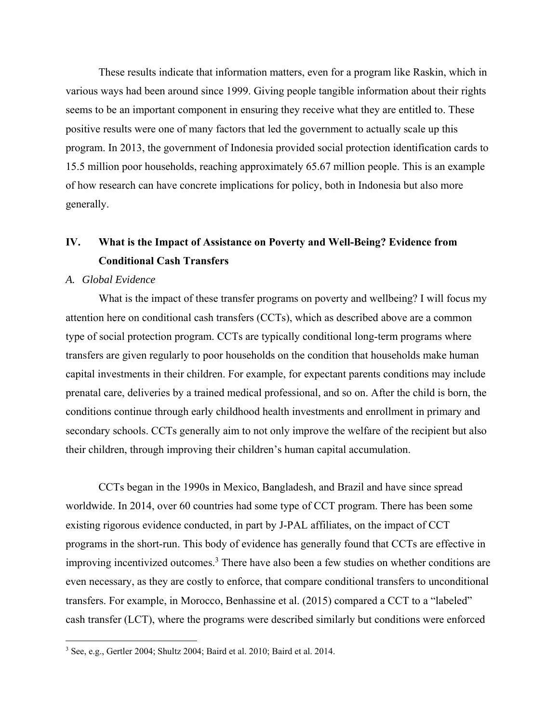These results indicate that information matters, even for a program like Raskin, which in various ways had been around since 1999. Giving people tangible information about their rights seems to be an important component in ensuring they receive what they are entitled to. These positive results were one of many factors that led the government to actually scale up this program. In 2013, the government of Indonesia provided social protection identification cards to 15.5 million poor households, reaching approximately 65.67 million people. This is an example of how research can have concrete implications for policy, both in Indonesia but also more generally.

# **IV. What is the Impact of Assistance on Poverty and Well-Being? Evidence from Conditional Cash Transfers**

### *A. Global Evidence*

What is the impact of these transfer programs on poverty and wellbeing? I will focus my attention here on conditional cash transfers (CCTs), which as described above are a common type of social protection program. CCTs are typically conditional long-term programs where transfers are given regularly to poor households on the condition that households make human capital investments in their children. For example, for expectant parents conditions may include prenatal care, deliveries by a trained medical professional, and so on. After the child is born, the conditions continue through early childhood health investments and enrollment in primary and secondary schools. CCTs generally aim to not only improve the welfare of the recipient but also their children, through improving their children's human capital accumulation.

CCTs began in the 1990s in Mexico, Bangladesh, and Brazil and have since spread worldwide. In 2014, over 60 countries had some type of CCT program. There has been some existing rigorous evidence conducted, in part by J-PAL affiliates, on the impact of CCT programs in the short-run. This body of evidence has generally found that CCTs are effective in improving incentivized outcomes.<sup>3</sup> There have also been a few studies on whether conditions are even necessary, as they are costly to enforce, that compare conditional transfers to unconditional transfers. For example, in Morocco, Benhassine et al. (2015) compared a CCT to a "labeled" cash transfer (LCT), where the programs were described similarly but conditions were enforced

<sup>&</sup>lt;sup>3</sup> See, e.g., Gertler 2004; Shultz 2004; Baird et al. 2010; Baird et al. 2014.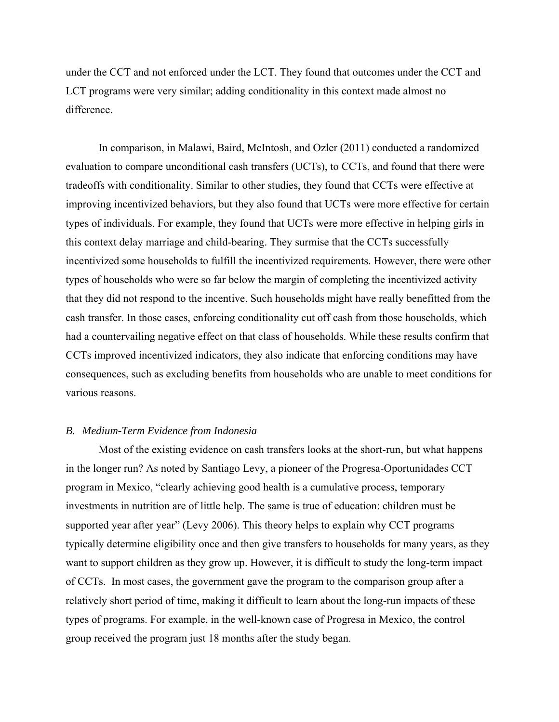under the CCT and not enforced under the LCT. They found that outcomes under the CCT and LCT programs were very similar; adding conditionality in this context made almost no difference.

In comparison, in Malawi, Baird, McIntosh, and Ozler (2011) conducted a randomized evaluation to compare unconditional cash transfers (UCTs), to CCTs, and found that there were tradeoffs with conditionality. Similar to other studies, they found that CCTs were effective at improving incentivized behaviors, but they also found that UCTs were more effective for certain types of individuals. For example, they found that UCTs were more effective in helping girls in this context delay marriage and child-bearing. They surmise that the CCTs successfully incentivized some households to fulfill the incentivized requirements. However, there were other types of households who were so far below the margin of completing the incentivized activity that they did not respond to the incentive. Such households might have really benefitted from the cash transfer. In those cases, enforcing conditionality cut off cash from those households, which had a countervailing negative effect on that class of households. While these results confirm that CCTs improved incentivized indicators, they also indicate that enforcing conditions may have consequences, such as excluding benefits from households who are unable to meet conditions for various reasons.

# *B. Medium-Term Evidence from Indonesia*

Most of the existing evidence on cash transfers looks at the short-run, but what happens in the longer run? As noted by Santiago Levy, a pioneer of the Progresa-Oportunidades CCT program in Mexico, "clearly achieving good health is a cumulative process, temporary investments in nutrition are of little help. The same is true of education: children must be supported year after year" (Levy 2006). This theory helps to explain why CCT programs typically determine eligibility once and then give transfers to households for many years, as they want to support children as they grow up. However, it is difficult to study the long-term impact of CCTs. In most cases, the government gave the program to the comparison group after a relatively short period of time, making it difficult to learn about the long-run impacts of these types of programs. For example, in the well-known case of Progresa in Mexico, the control group received the program just 18 months after the study began.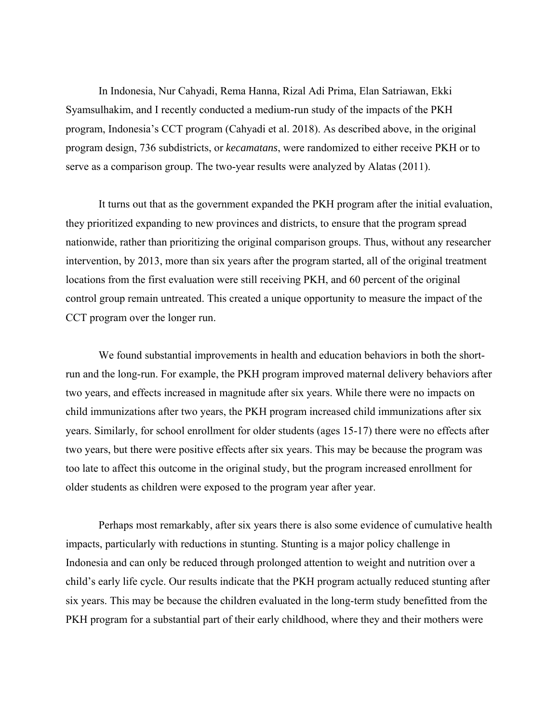In Indonesia, Nur Cahyadi, Rema Hanna, Rizal Adi Prima, Elan Satriawan, Ekki Syamsulhakim, and I recently conducted a medium-run study of the impacts of the PKH program, Indonesia's CCT program (Cahyadi et al. 2018). As described above, in the original program design, 736 subdistricts, or *kecamatans*, were randomized to either receive PKH or to serve as a comparison group. The two-year results were analyzed by Alatas (2011).

It turns out that as the government expanded the PKH program after the initial evaluation, they prioritized expanding to new provinces and districts, to ensure that the program spread nationwide, rather than prioritizing the original comparison groups. Thus, without any researcher intervention, by 2013, more than six years after the program started, all of the original treatment locations from the first evaluation were still receiving PKH, and 60 percent of the original control group remain untreated. This created a unique opportunity to measure the impact of the CCT program over the longer run.

We found substantial improvements in health and education behaviors in both the shortrun and the long-run. For example, the PKH program improved maternal delivery behaviors after two years, and effects increased in magnitude after six years. While there were no impacts on child immunizations after two years, the PKH program increased child immunizations after six years. Similarly, for school enrollment for older students (ages 15-17) there were no effects after two years, but there were positive effects after six years. This may be because the program was too late to affect this outcome in the original study, but the program increased enrollment for older students as children were exposed to the program year after year.

Perhaps most remarkably, after six years there is also some evidence of cumulative health impacts, particularly with reductions in stunting. Stunting is a major policy challenge in Indonesia and can only be reduced through prolonged attention to weight and nutrition over a child's early life cycle. Our results indicate that the PKH program actually reduced stunting after six years. This may be because the children evaluated in the long-term study benefitted from the PKH program for a substantial part of their early childhood, where they and their mothers were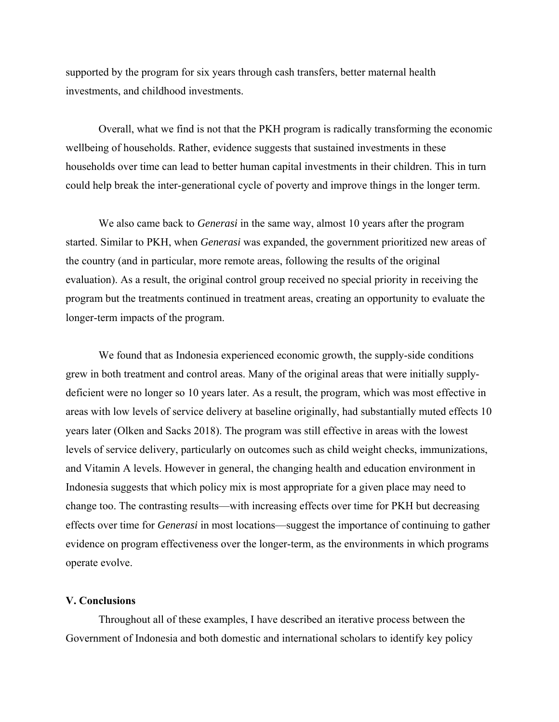supported by the program for six years through cash transfers, better maternal health investments, and childhood investments.

Overall, what we find is not that the PKH program is radically transforming the economic wellbeing of households. Rather, evidence suggests that sustained investments in these households over time can lead to better human capital investments in their children. This in turn could help break the inter-generational cycle of poverty and improve things in the longer term.

We also came back to *Generasi* in the same way, almost 10 years after the program started. Similar to PKH, when *Generasi* was expanded, the government prioritized new areas of the country (and in particular, more remote areas, following the results of the original evaluation). As a result, the original control group received no special priority in receiving the program but the treatments continued in treatment areas, creating an opportunity to evaluate the longer-term impacts of the program.

We found that as Indonesia experienced economic growth, the supply-side conditions grew in both treatment and control areas. Many of the original areas that were initially supplydeficient were no longer so 10 years later. As a result, the program, which was most effective in areas with low levels of service delivery at baseline originally, had substantially muted effects 10 years later (Olken and Sacks 2018). The program was still effective in areas with the lowest levels of service delivery, particularly on outcomes such as child weight checks, immunizations, and Vitamin A levels. However in general, the changing health and education environment in Indonesia suggests that which policy mix is most appropriate for a given place may need to change too. The contrasting results—with increasing effects over time for PKH but decreasing effects over time for *Generasi* in most locations—suggest the importance of continuing to gather evidence on program effectiveness over the longer-term, as the environments in which programs operate evolve.

# **V. Conclusions**

Throughout all of these examples, I have described an iterative process between the Government of Indonesia and both domestic and international scholars to identify key policy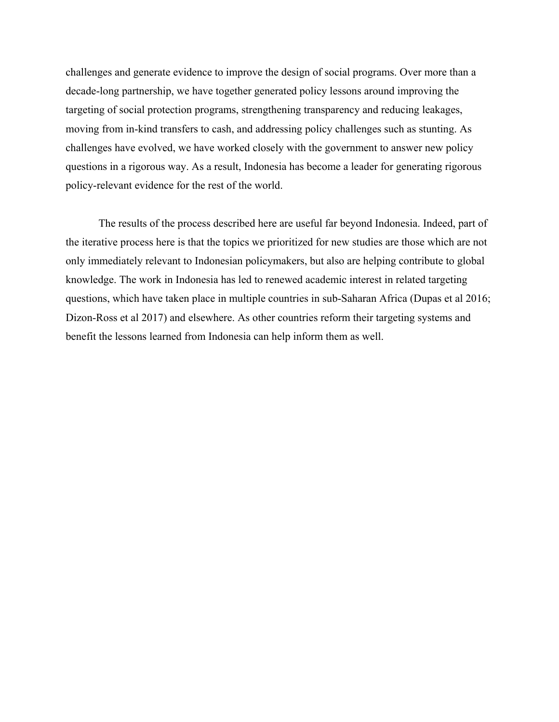challenges and generate evidence to improve the design of social programs. Over more than a decade-long partnership, we have together generated policy lessons around improving the targeting of social protection programs, strengthening transparency and reducing leakages, moving from in-kind transfers to cash, and addressing policy challenges such as stunting. As challenges have evolved, we have worked closely with the government to answer new policy questions in a rigorous way. As a result, Indonesia has become a leader for generating rigorous policy-relevant evidence for the rest of the world.

The results of the process described here are useful far beyond Indonesia. Indeed, part of the iterative process here is that the topics we prioritized for new studies are those which are not only immediately relevant to Indonesian policymakers, but also are helping contribute to global knowledge. The work in Indonesia has led to renewed academic interest in related targeting questions, which have taken place in multiple countries in sub-Saharan Africa (Dupas et al 2016; Dizon-Ross et al 2017) and elsewhere. As other countries reform their targeting systems and benefit the lessons learned from Indonesia can help inform them as well.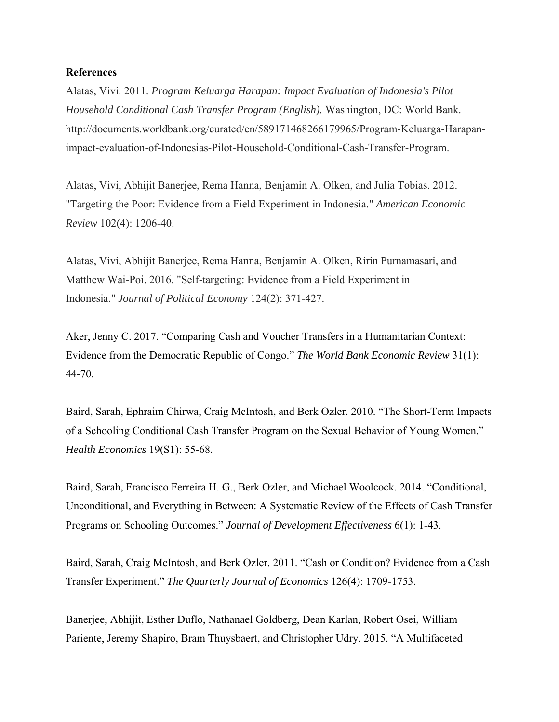# **References**

Alatas, Vivi. 2011. *Program Keluarga Harapan: Impact Evaluation of Indonesia's Pilot Household Conditional Cash Transfer Program (English).* Washington, DC: World Bank. http://documents.worldbank.org/curated/en/589171468266179965/Program-Keluarga-Harapanimpact-evaluation-of-Indonesias-Pilot-Household-Conditional-Cash-Transfer-Program.

Alatas, Vivi, Abhijit Banerjee, Rema Hanna, Benjamin A. Olken, and Julia Tobias. 2012. "Targeting the Poor: Evidence from a Field Experiment in Indonesia." *American Economic Review* 102(4): 1206-40.

Alatas, Vivi, Abhijit Banerjee, Rema Hanna, Benjamin A. Olken, Ririn Purnamasari, and Matthew Wai-Poi. 2016. "Self-targeting: Evidence from a Field Experiment in Indonesia." *Journal of Political Economy* 124(2): 371-427.

Aker, Jenny C. 2017. "Comparing Cash and Voucher Transfers in a Humanitarian Context: Evidence from the Democratic Republic of Congo." *The World Bank Economic Review* 31(1): 44-70.

Baird, Sarah, Ephraim Chirwa, Craig McIntosh, and Berk Ozler. 2010. "The Short-Term Impacts of a Schooling Conditional Cash Transfer Program on the Sexual Behavior of Young Women." *Health Economics* 19(S1): 55-68.

Baird, Sarah, Francisco Ferreira H. G., Berk Ozler, and Michael Woolcock. 2014. "Conditional, Unconditional, and Everything in Between: A Systematic Review of the Effects of Cash Transfer Programs on Schooling Outcomes." *Journal of Development Effectiveness* 6(1): 1-43.

Baird, Sarah, Craig McIntosh, and Berk Ozler. 2011. "Cash or Condition? Evidence from a Cash Transfer Experiment." *The Quarterly Journal of Economics* 126(4): 1709-1753.

Banerjee, Abhijit, Esther Duflo, Nathanael Goldberg, Dean Karlan, Robert Osei, William Pariente, Jeremy Shapiro, Bram Thuysbaert, and Christopher Udry. 2015. "A Multifaceted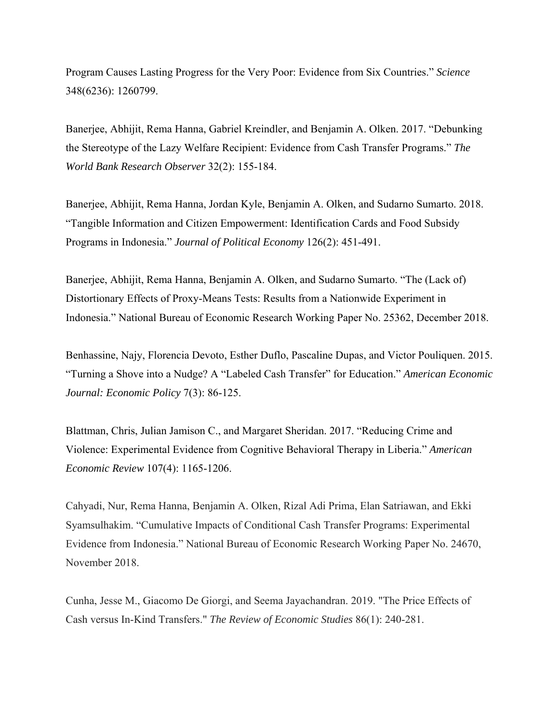Program Causes Lasting Progress for the Very Poor: Evidence from Six Countries." *Science* 348(6236): 1260799.

Banerjee, Abhijit, Rema Hanna, Gabriel Kreindler, and Benjamin A. Olken. 2017. "Debunking the Stereotype of the Lazy Welfare Recipient: Evidence from Cash Transfer Programs." *The World Bank Research Observer* 32(2): 155-184.

Banerjee, Abhijit, Rema Hanna, Jordan Kyle, Benjamin A. Olken, and Sudarno Sumarto. 2018. "Tangible Information and Citizen Empowerment: Identification Cards and Food Subsidy Programs in Indonesia." *Journal of Political Economy* 126(2): 451-491.

Banerjee, Abhijit, Rema Hanna, Benjamin A. Olken, and Sudarno Sumarto. "The (Lack of) Distortionary Effects of Proxy-Means Tests: Results from a Nationwide Experiment in Indonesia." National Bureau of Economic Research Working Paper No. 25362, December 2018.

Benhassine, Najy, Florencia Devoto, Esther Duflo, Pascaline Dupas, and Victor Pouliquen. 2015. "Turning a Shove into a Nudge? A "Labeled Cash Transfer" for Education." *American Economic Journal: Economic Policy* 7(3): 86-125.

Blattman, Chris, Julian Jamison C., and Margaret Sheridan. 2017. "Reducing Crime and Violence: Experimental Evidence from Cognitive Behavioral Therapy in Liberia." *American Economic Review* 107(4): 1165-1206.

Cahyadi, Nur, Rema Hanna, Benjamin A. Olken, Rizal Adi Prima, Elan Satriawan, and Ekki Syamsulhakim. "Cumulative Impacts of Conditional Cash Transfer Programs: Experimental Evidence from Indonesia." National Bureau of Economic Research Working Paper No. 24670, November 2018.

Cunha, Jesse M., Giacomo De Giorgi, and Seema Jayachandran. 2019. "The Price Effects of Cash versus In-Kind Transfers." *The Review of Economic Studies* 86(1): 240-281.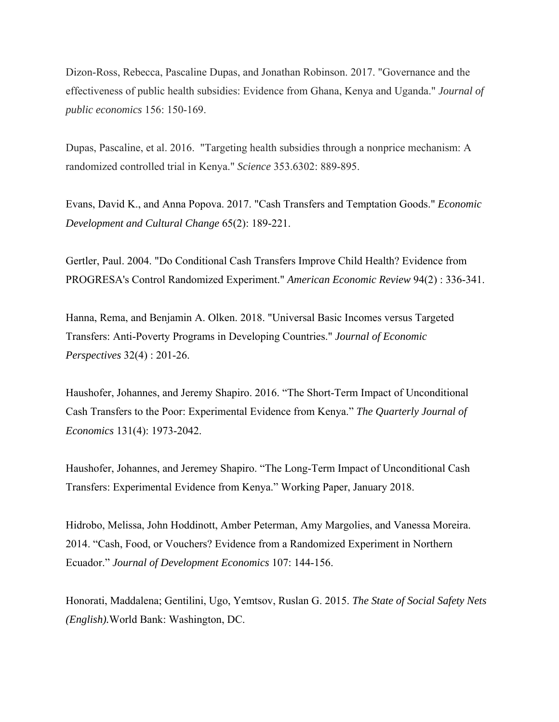Dizon-Ross, Rebecca, Pascaline Dupas, and Jonathan Robinson. 2017. "Governance and the effectiveness of public health subsidies: Evidence from Ghana, Kenya and Uganda." *Journal of public economics* 156: 150-169.

Dupas, Pascaline, et al. 2016. "Targeting health subsidies through a nonprice mechanism: A randomized controlled trial in Kenya." *Science* 353.6302: 889-895.

Evans, David K., and Anna Popova. 2017. "Cash Transfers and Temptation Goods." *Economic Development and Cultural Change* 65(2): 189-221.

Gertler, Paul. 2004. "Do Conditional Cash Transfers Improve Child Health? Evidence from PROGRESA's Control Randomized Experiment." *American Economic Review* 94(2) : 336-341.

Hanna, Rema, and Benjamin A. Olken. 2018. "Universal Basic Incomes versus Targeted Transfers: Anti-Poverty Programs in Developing Countries." *Journal of Economic Perspectives* 32(4) : 201-26.

Haushofer, Johannes, and Jeremy Shapiro. 2016. "The Short-Term Impact of Unconditional Cash Transfers to the Poor: Experimental Evidence from Kenya." *The Quarterly Journal of Economics* 131(4): 1973-2042.

Haushofer, Johannes, and Jeremey Shapiro. "The Long-Term Impact of Unconditional Cash Transfers: Experimental Evidence from Kenya." Working Paper, January 2018.

Hidrobo, Melissa, John Hoddinott, Amber Peterman, Amy Margolies, and Vanessa Moreira. 2014. "Cash, Food, or Vouchers? Evidence from a Randomized Experiment in Northern Ecuador." *Journal of Development Economics* 107: 144-156.

Honorati, Maddalena; Gentilini, Ugo, Yemtsov, Ruslan G. 2015. *The State of Social Safety Nets (English).*World Bank: Washington, DC.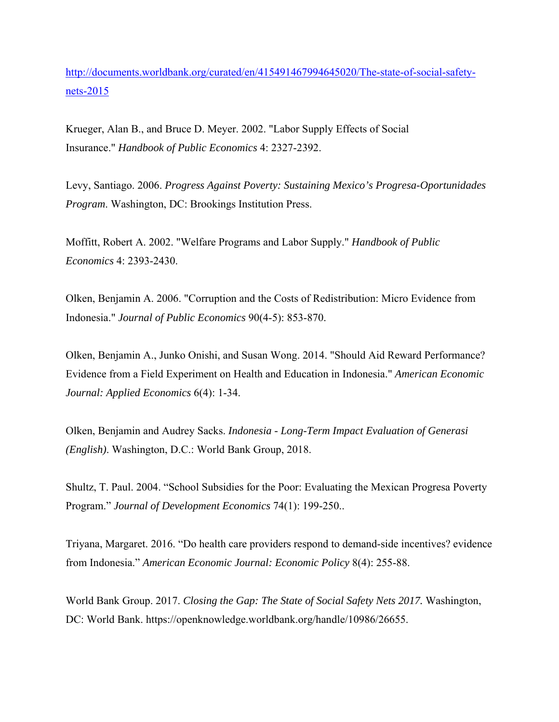http://documents.worldbank.org/curated/en/415491467994645020/The-state-of-social-safetynets-2015

Krueger, Alan B., and Bruce D. Meyer. 2002. "Labor Supply Effects of Social Insurance." *Handbook of Public Economics* 4: 2327-2392.

Levy, Santiago. 2006. *Progress Against Poverty: Sustaining Mexico's Progresa-Oportunidades Program*. Washington, DC: Brookings Institution Press.

Moffitt, Robert A. 2002. "Welfare Programs and Labor Supply." *Handbook of Public Economics* 4: 2393-2430.

Olken, Benjamin A. 2006. "Corruption and the Costs of Redistribution: Micro Evidence from Indonesia." *Journal of Public Economics* 90(4-5): 853-870.

Olken, Benjamin A., Junko Onishi, and Susan Wong. 2014. "Should Aid Reward Performance? Evidence from a Field Experiment on Health and Education in Indonesia." *American Economic Journal: Applied Economics* 6(4): 1-34.

Olken, Benjamin and Audrey Sacks. *Indonesia - Long-Term Impact Evaluation of Generasi (English)*. Washington, D.C.: World Bank Group, 2018.

Shultz, T. Paul. 2004. "School Subsidies for the Poor: Evaluating the Mexican Progresa Poverty Program." *Journal of Development Economics* 74(1): 199-250..

Triyana, Margaret. 2016. "Do health care providers respond to demand-side incentives? evidence from Indonesia." *American Economic Journal: Economic Policy* 8(4): 255-88.

World Bank Group. 2017. *Closing the Gap: The State of Social Safety Nets 2017.* Washington, DC: World Bank. https://openknowledge.worldbank.org/handle/10986/26655.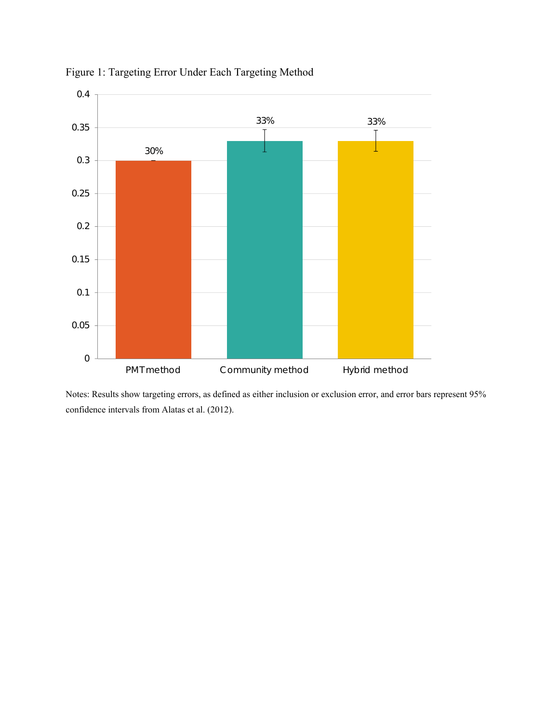

Figure 1: Targeting Error Under Each Targeting Method

Notes: Results show targeting errors, as defined as either inclusion or exclusion error, and error bars represent 95% confidence intervals from Alatas et al. (2012).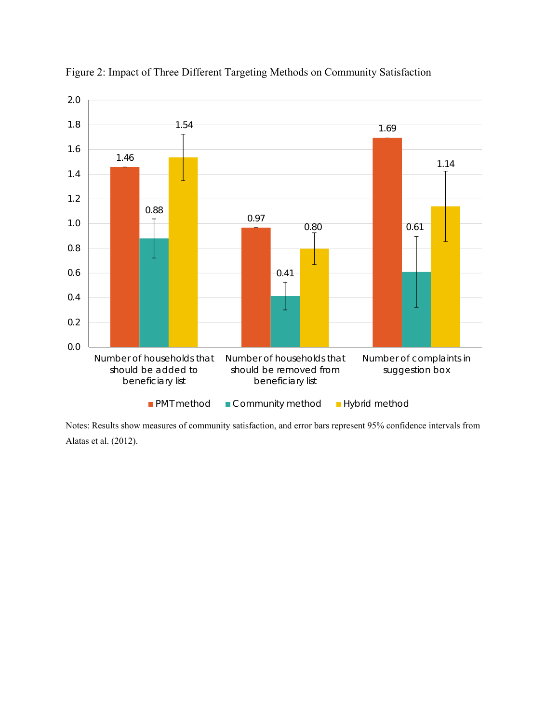

Figure 2: Impact of Three Different Targeting Methods on Community Satisfaction

Notes: Results show measures of community satisfaction, and error bars represent 95% confidence intervals from Alatas et al. (2012).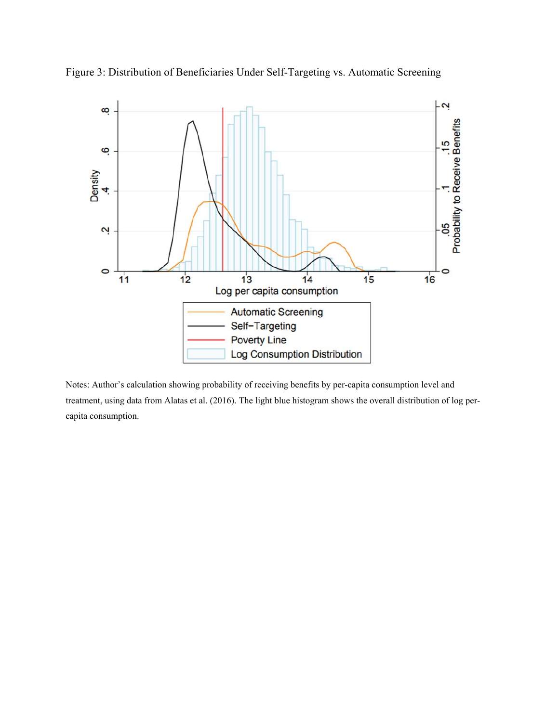

Figure 3: Distribution of Beneficiaries Under Self-Targeting vs. Automatic Screening

Notes: Author's calculation showing probability of receiving benefits by per-capita consumption level and treatment, using data from Alatas et al. (2016). The light blue histogram shows the overall distribution of log percapita consumption.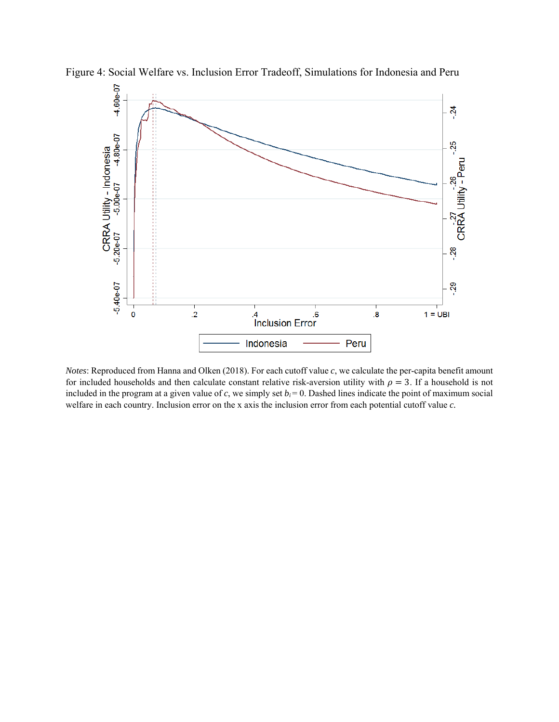

Figure 4: Social Welfare vs. Inclusion Error Tradeoff, Simulations for Indonesia and Peru

*Notes*: Reproduced from Hanna and Olken (2018). For each cutoff value *c*, we calculate the per-capita benefit amount for included households and then calculate constant relative risk-aversion utility with  $\rho = 3$ . If a household is not included in the program at a given value of  $c$ , we simply set  $b_i = 0$ . Dashed lines indicate the point of maximum social welfare in each country. Inclusion error on the x axis the inclusion error from each potential cutoff value *c.*